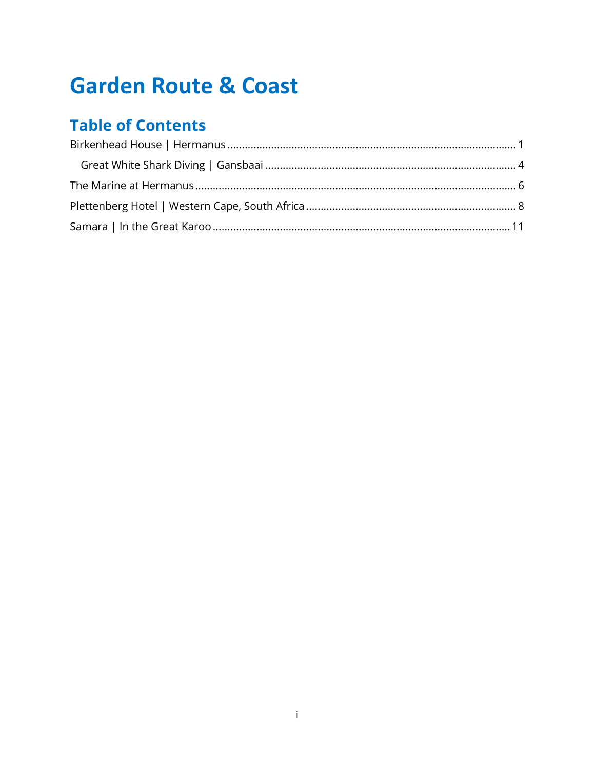# **Garden Route & Coast**

## **Table of Contents**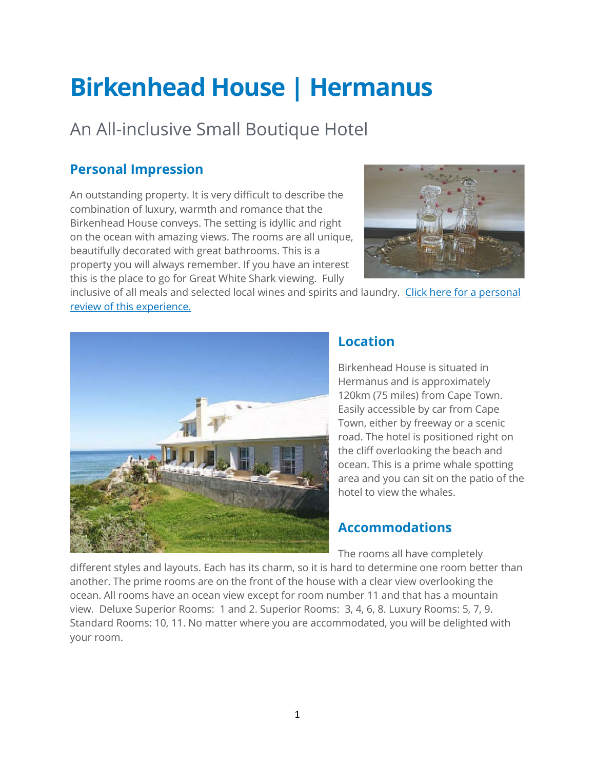# <span id="page-1-0"></span>**Birkenhead House | Hermanus**

# An All-inclusive Small Boutique Hotel

## **Personal Impression**

An outstanding property. It is very difficult to describe the combination of luxury, warmth and romance that the Birkenhead House conveys. The setting is idyllic and right on the ocean with amazing views. The rooms are all unique, beautifully decorated with great bathrooms. This is a property you will always remember. If you have an interest this is the place to go for Great White Shark viewing. Fully



inclusive of all meals and selected local wines and spirits and laundry. Click here for a personal [review of this experience.](#page-4-0)



## **Location**

Birkenhead House is situated in Hermanus and is approximately 120km (75 miles) from Cape Town. Easily accessible by car from Cape Town, either by freeway or a scenic road. The hotel is positioned right on the cliff overlooking the beach and ocean. This is a prime whale spotting area and you can sit on the patio of the hotel to view the whales.

## **Accommodations**

The rooms all have completely

different styles and layouts. Each has its charm, so it is hard to determine one room better than another. The prime rooms are on the front of the house with a clear view overlooking the ocean. All rooms have an ocean view except for room number 11 and that has a mountain view. Deluxe Superior Rooms: 1 and 2. Superior Rooms: 3, 4, 6, 8. Luxury Rooms: 5, 7, 9. Standard Rooms: 10, 11. No matter where you are accommodated, you will be delighted with your room.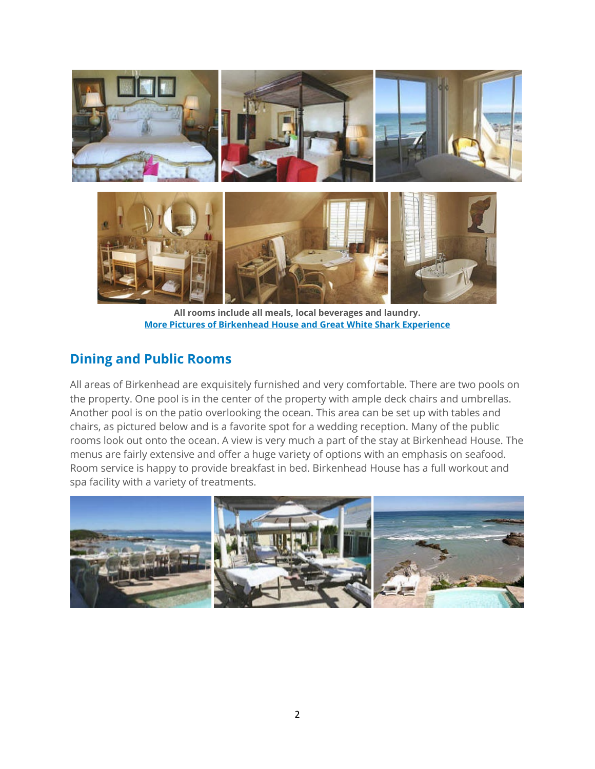

**All rooms include all meals, local beverages and laundry. [More Pictures of Birkenhead House and Great White Shark Experience](https://ngaire.smugmug.com/AFRICA/Africa-Tours/TUSK-Photos/2037804_XRxcSX#!i=104605173&k=MFJpZds)**

### **Dining and Public Rooms**

All areas of Birkenhead are exquisitely furnished and very comfortable. There are two pools on the property. One pool is in the center of the property with ample deck chairs and umbrellas. Another pool is on the patio overlooking the ocean. This area can be set up with tables and chairs, as pictured below and is a favorite spot for a wedding reception. Many of the public rooms look out onto the ocean. A view is very much a part of the stay at Birkenhead House. The menus are fairly extensive and offer a huge variety of options with an emphasis on seafood. Room service is happy to provide breakfast in bed. Birkenhead House has a full workout and spa facility with a variety of treatments.

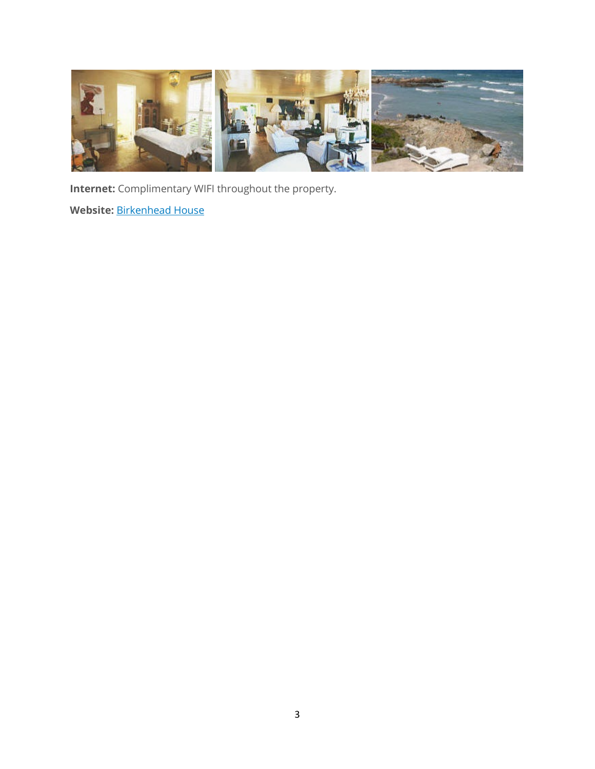

**Internet:** Complimentary WIFI throughout the property.

**Website:** [Birkenhead House](http://www.birkenheadhouse.com/)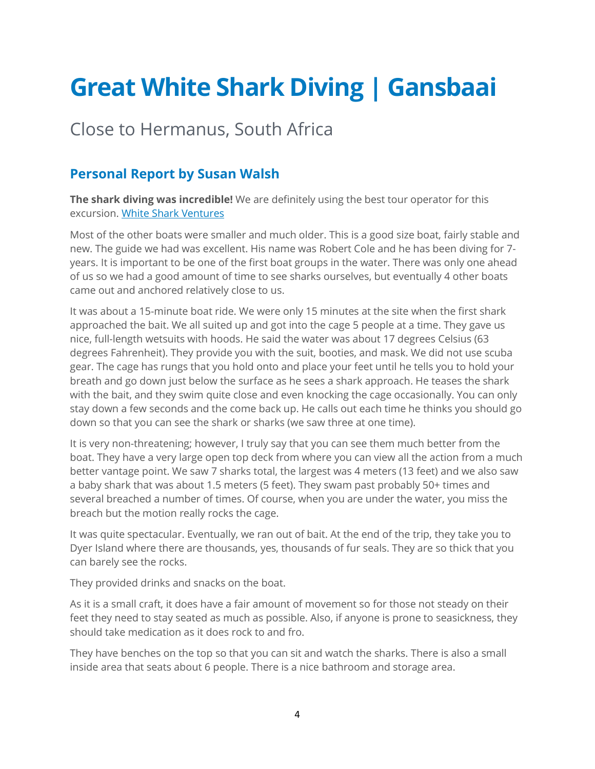# <span id="page-4-0"></span>**Great White Shark Diving | Gansbaai**

# Close to Hermanus, South Africa

### **Personal Report by Susan Walsh**

**The shark diving was incredible!** We are definitely using the best tour operator for this excursion. [White Shark Ventures](http://www.white-shark-diving.com/)

Most of the other boats were smaller and much older. This is a good size boat, fairly stable and new. The guide we had was excellent. His name was Robert Cole and he has been diving for 7 years. It is important to be one of the first boat groups in the water. There was only one ahead of us so we had a good amount of time to see sharks ourselves, but eventually 4 other boats came out and anchored relatively close to us.

It was about a 15-minute boat ride. We were only 15 minutes at the site when the first shark approached the bait. We all suited up and got into the cage 5 people at a time. They gave us nice, full-length wetsuits with hoods. He said the water was about 17 degrees Celsius (63 degrees Fahrenheit). They provide you with the suit, booties, and mask. We did not use scuba gear. The cage has rungs that you hold onto and place your feet until he tells you to hold your breath and go down just below the surface as he sees a shark approach. He teases the shark with the bait, and they swim quite close and even knocking the cage occasionally. You can only stay down a few seconds and the come back up. He calls out each time he thinks you should go down so that you can see the shark or sharks (we saw three at one time).

It is very non-threatening; however, I truly say that you can see them much better from the boat. They have a very large open top deck from where you can view all the action from a much better vantage point. We saw 7 sharks total, the largest was 4 meters (13 feet) and we also saw a baby shark that was about 1.5 meters (5 feet). They swam past probably 50+ times and several breached a number of times. Of course, when you are under the water, you miss the breach but the motion really rocks the cage.

It was quite spectacular. Eventually, we ran out of bait. At the end of the trip, they take you to Dyer Island where there are thousands, yes, thousands of fur seals. They are so thick that you can barely see the rocks.

They provided drinks and snacks on the boat.

As it is a small craft, it does have a fair amount of movement so for those not steady on their feet they need to stay seated as much as possible. Also, if anyone is prone to seasickness, they should take medication as it does rock to and fro.

They have benches on the top so that you can sit and watch the sharks. There is also a small inside area that seats about 6 people. There is a nice bathroom and storage area.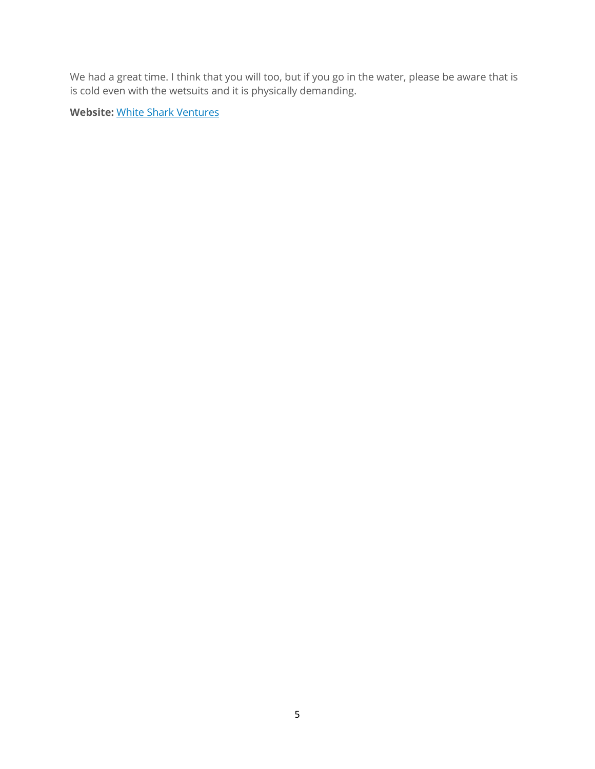We had a great time. I think that you will too, but if you go in the water, please be aware that is is cold even with the wetsuits and it is physically demanding.

**Website:** [White Shark Ventures](http://www.white-shark-diving.com/)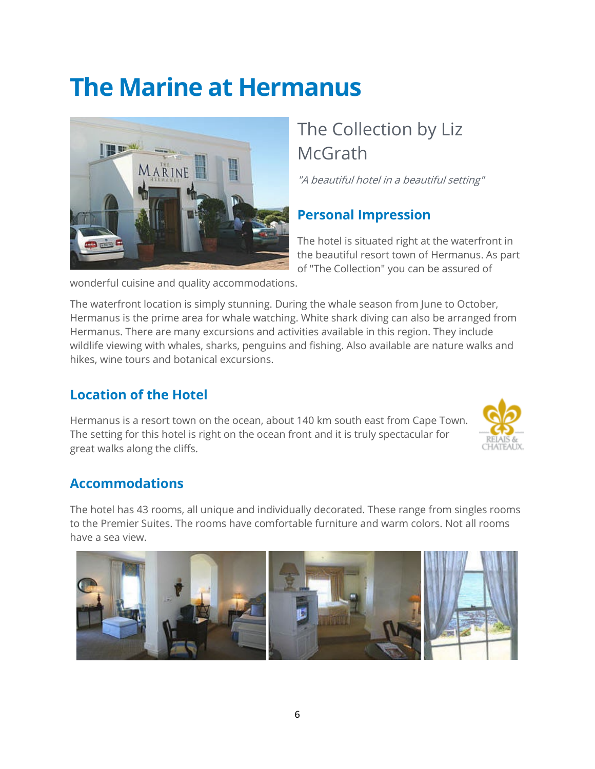# <span id="page-6-0"></span>**The Marine at Hermanus**



# The Collection by Liz **McGrath**

"A beautiful hotel in a beautiful setting"

## **Personal Impression**

The hotel is situated right at the waterfront in the beautiful resort town of Hermanus. As part of "The Collection" you can be assured of

wonderful cuisine and quality accommodations.

The waterfront location is simply stunning. During the whale season from June to October, Hermanus is the prime area for whale watching. White shark diving can also be arranged from Hermanus. There are many excursions and activities available in this region. They include wildlife viewing with whales, sharks, penguins and fishing. Also available are nature walks and hikes, wine tours and botanical excursions.

### **Location of the Hotel**

Hermanus is a resort town on the ocean, about 140 km south east from Cape Town. The setting for this hotel is right on the ocean front and it is truly spectacular for great walks along the cliffs.



### **Accommodations**

The hotel has 43 rooms, all unique and individually decorated. These range from singles rooms to the Premier Suites. The rooms have comfortable furniture and warm colors. Not all rooms have a sea view.

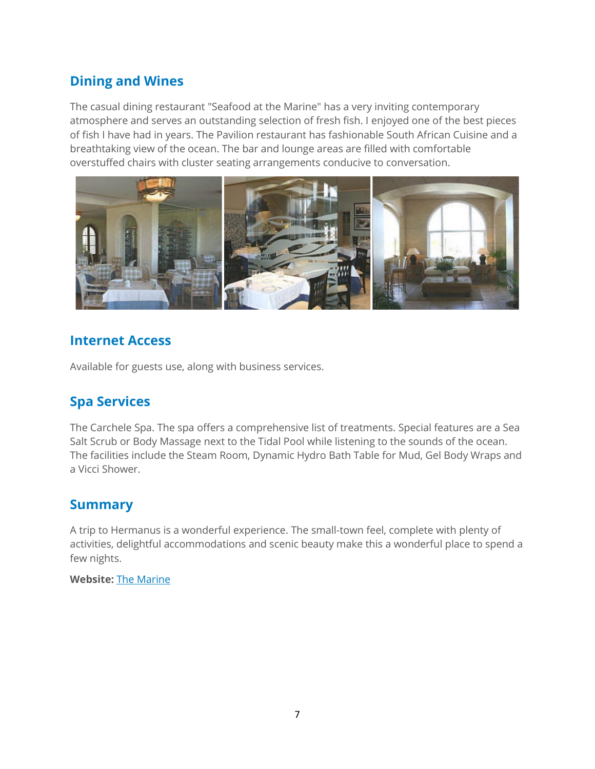### **Dining and Wines**

The casual dining restaurant "Seafood at the Marine" has a very inviting contemporary atmosphere and serves an outstanding selection of fresh fish. I enjoyed one of the best pieces of fish I have had in years. The Pavilion restaurant has fashionable South African Cuisine and a breathtaking view of the ocean. The bar and lounge areas are filled with comfortable overstuffed chairs with cluster seating arrangements conducive to conversation.



### **Internet Access**

Available for guests use, along with business services.

### **Spa Services**

The Carchele Spa. The spa offers a comprehensive list of treatments. Special features are a Sea Salt Scrub or Body Massage next to the Tidal Pool while listening to the sounds of the ocean. The facilities include the Steam Room, Dynamic Hydro Bath Table for Mud, Gel Body Wraps and a Vicci Shower.

#### **Summary**

A trip to Hermanus is a wonderful experience. The small-town feel, complete with plenty of activities, delightful accommodations and scenic beauty make this a wonderful place to spend a few nights.

#### **Website:** [The Marine](http://www.collectionmcgrath.com/marine/)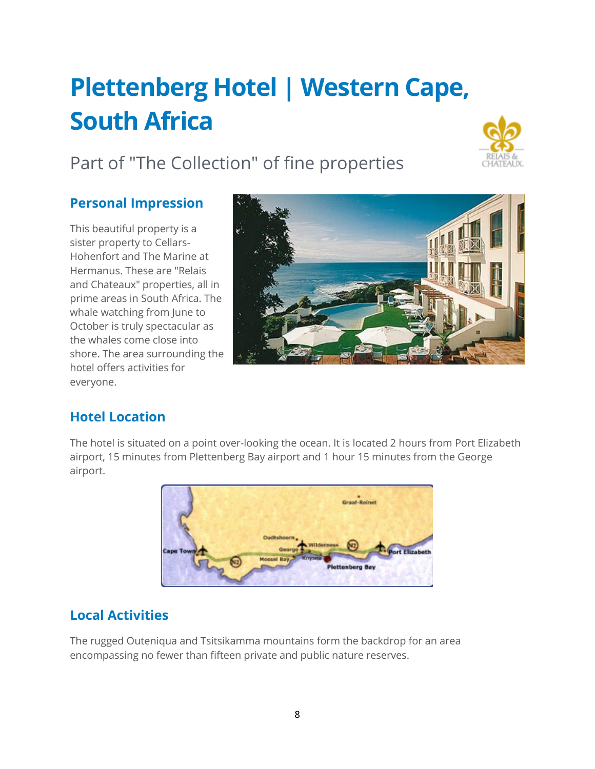# <span id="page-8-0"></span>**Plettenberg Hotel | Western Cape, South Africa**

# Part of "The Collection" of fine properties



### **Personal Impression**

This beautiful property is a sister property to Cellars-Hohenfort and The Marine at Hermanus. These are "Relais and Chateaux" properties, all in prime areas in South Africa. The whale watching from June to October is truly spectacular as the whales come close into shore. The area surrounding the hotel offers activities for everyone.



### **Hotel Location**

The hotel is situated on a point over-looking the ocean. It is located 2 hours from Port Elizabeth airport, 15 minutes from Plettenberg Bay airport and 1 hour 15 minutes from the George airport.



### **Local Activities**

The rugged Outeniqua and Tsitsikamma mountains form the backdrop for an area encompassing no fewer than fifteen private and public nature reserves.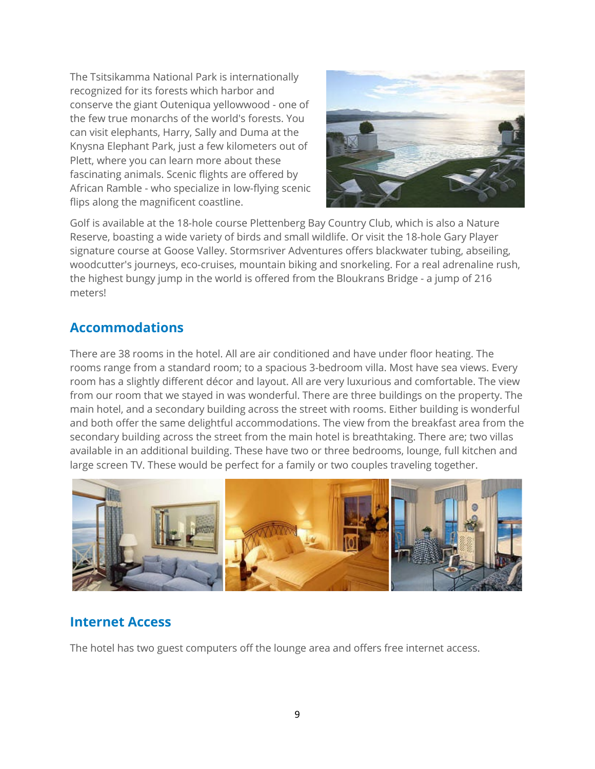The Tsitsikamma National Park is internationally recognized for its forests which harbor and conserve the giant Outeniqua yellowwood - one of the few true monarchs of the world's forests. You can visit elephants, Harry, Sally and Duma at the Knysna Elephant Park, just a few kilometers out of Plett, where you can learn more about these fascinating animals. Scenic flights are offered by African Ramble - who specialize in low-flying scenic flips along the magnificent coastline.



Golf is available at the 18-hole course Plettenberg Bay Country Club, which is also a Nature Reserve, boasting a wide variety of birds and small wildlife. Or visit the 18-hole Gary Player signature course at Goose Valley. Stormsriver Adventures offers blackwater tubing, abseiling, woodcutter's journeys, eco-cruises, mountain biking and snorkeling. For a real adrenaline rush, the highest bungy jump in the world is offered from the Bloukrans Bridge - a jump of 216 meters!

### **Accommodations**

There are 38 rooms in the hotel. All are air conditioned and have under floor heating. The rooms range from a standard room; to a spacious 3-bedroom villa. Most have sea views. Every room has a slightly different décor and layout. All are very luxurious and comfortable. The view from our room that we stayed in was wonderful. There are three buildings on the property. The main hotel, and a secondary building across the street with rooms. Either building is wonderful and both offer the same delightful accommodations. The view from the breakfast area from the secondary building across the street from the main hotel is breathtaking. There are; two villas available in an additional building. These have two or three bedrooms, lounge, full kitchen and large screen TV. These would be perfect for a family or two couples traveling together.



### **Internet Access**

The hotel has two guest computers off the lounge area and offers free internet access.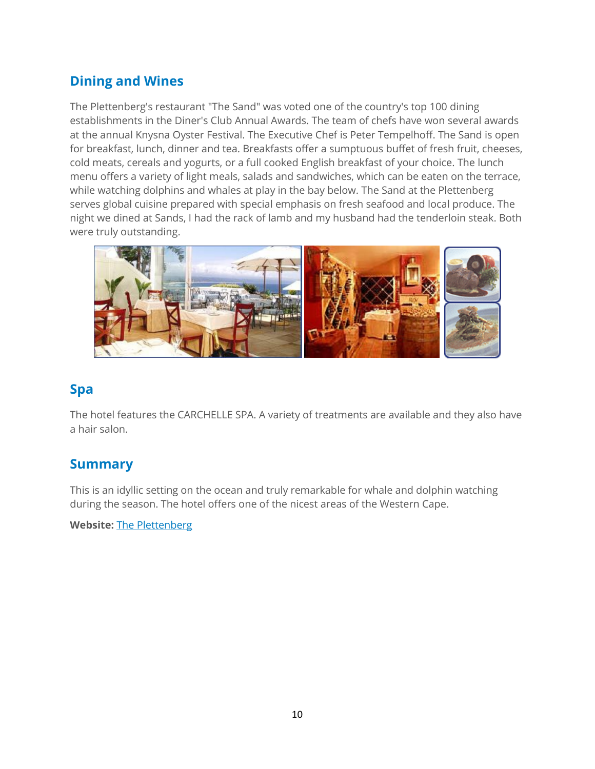### **Dining and Wines**

The Plettenberg's restaurant "The Sand" was voted one of the country's top 100 dining establishments in the Diner's Club Annual Awards. The team of chefs have won several awards at the annual Knysna Oyster Festival. The Executive Chef is Peter Tempelhoff. The Sand is open for breakfast, lunch, dinner and tea. Breakfasts offer a sumptuous buffet of fresh fruit, cheeses, cold meats, cereals and yogurts, or a full cooked English breakfast of your choice. The lunch menu offers a variety of light meals, salads and sandwiches, which can be eaten on the terrace, while watching dolphins and whales at play in the bay below. The Sand at the Plettenberg serves global cuisine prepared with special emphasis on fresh seafood and local produce. The night we dined at Sands, I had the rack of lamb and my husband had the tenderloin steak. Both were truly outstanding.



#### **Spa**

The hotel features the CARCHELLE SPA. A variety of treatments are available and they also have a hair salon.

### **Summary**

This is an idyllic setting on the ocean and truly remarkable for whale and dolphin watching during the season. The hotel offers one of the nicest areas of the Western Cape.

**Website:** [The Plettenberg](http://www.collectionmcgrath.com/content/landing/the-plettenberg)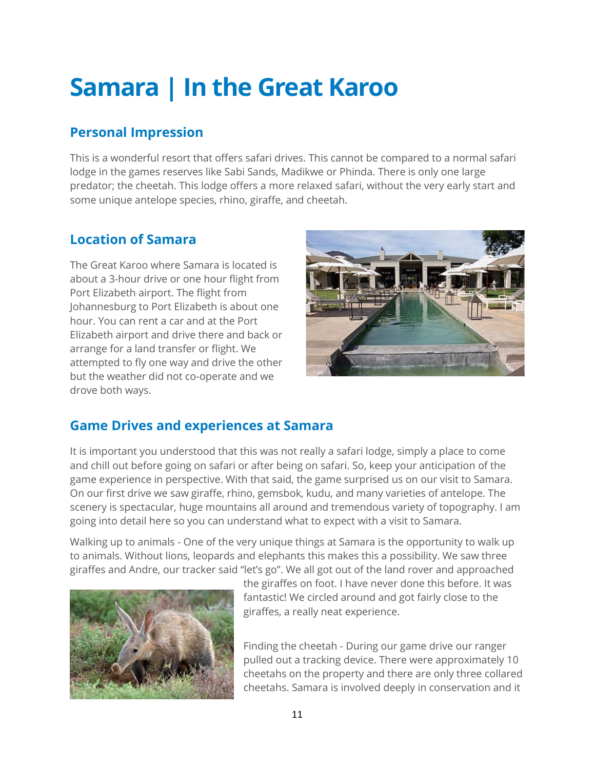# <span id="page-11-0"></span>**Samara | In the Great Karoo**

### **Personal Impression**

This is a wonderful resort that offers safari drives. This cannot be compared to a normal safari lodge in the games reserves like Sabi Sands, Madikwe or Phinda. There is only one large predator; the cheetah. This lodge offers a more relaxed safari, without the very early start and some unique antelope species, rhino, giraffe, and cheetah.

### **Location of Samara**

The Great Karoo where Samara is located is about a 3-hour drive or one hour flight from Port Elizabeth airport. The flight from Johannesburg to Port Elizabeth is about one hour. You can rent a car and at the Port Elizabeth airport and drive there and back or arrange for a land transfer or flight. We attempted to fly one way and drive the other but the weather did not co-operate and we drove both ways.



### **Game Drives and experiences at Samara**

It is important you understood that this was not really a safari lodge, simply a place to come and chill out before going on safari or after being on safari. So, keep your anticipation of the game experience in perspective. With that said, the game surprised us on our visit to Samara. On our first drive we saw giraffe, rhino, gemsbok, kudu, and many varieties of antelope. The scenery is spectacular, huge mountains all around and tremendous variety of topography. I am going into detail here so you can understand what to expect with a visit to Samara.

Walking up to animals - One of the very unique things at Samara is the opportunity to walk up to animals. Without lions, leopards and elephants this makes this a possibility. We saw three giraffes and Andre, our tracker said "let's go". We all got out of the land rover and approached



the giraffes on foot. I have never done this before. It was fantastic! We circled around and got fairly close to the giraffes, a really neat experience.

Finding the cheetah - During our game drive our ranger pulled out a tracking device. There were approximately 10 cheetahs on the property and there are only three collared cheetahs. Samara is involved deeply in conservation and it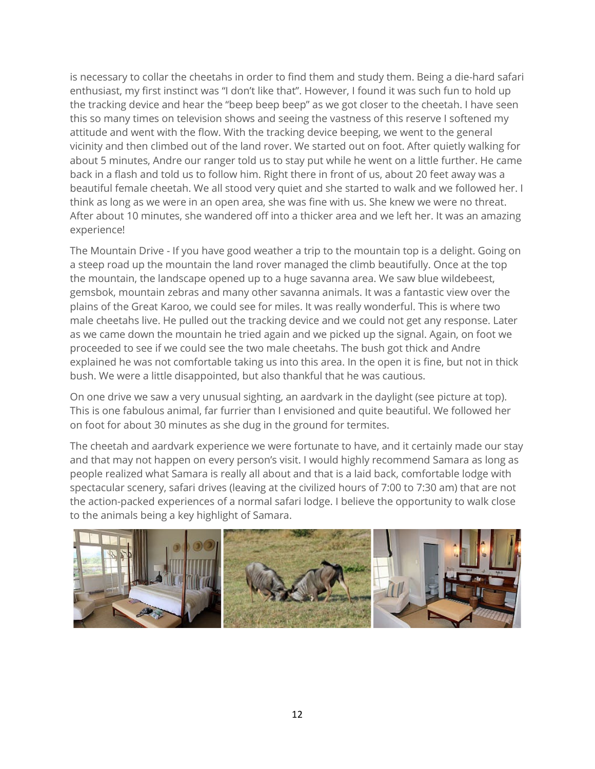is necessary to collar the cheetahs in order to find them and study them. Being a die-hard safari enthusiast, my first instinct was "I don't like that". However, I found it was such fun to hold up the tracking device and hear the "beep beep beep" as we got closer to the cheetah. I have seen this so many times on television shows and seeing the vastness of this reserve I softened my attitude and went with the flow. With the tracking device beeping, we went to the general vicinity and then climbed out of the land rover. We started out on foot. After quietly walking for about 5 minutes, Andre our ranger told us to stay put while he went on a little further. He came back in a flash and told us to follow him. Right there in front of us, about 20 feet away was a beautiful female cheetah. We all stood very quiet and she started to walk and we followed her. I think as long as we were in an open area, she was fine with us. She knew we were no threat. After about 10 minutes, she wandered off into a thicker area and we left her. It was an amazing experience!

The Mountain Drive - If you have good weather a trip to the mountain top is a delight. Going on a steep road up the mountain the land rover managed the climb beautifully. Once at the top the mountain, the landscape opened up to a huge savanna area. We saw blue wildebeest, gemsbok, mountain zebras and many other savanna animals. It was a fantastic view over the plains of the Great Karoo, we could see for miles. It was really wonderful. This is where two male cheetahs live. He pulled out the tracking device and we could not get any response. Later as we came down the mountain he tried again and we picked up the signal. Again, on foot we proceeded to see if we could see the two male cheetahs. The bush got thick and Andre explained he was not comfortable taking us into this area. In the open it is fine, but not in thick bush. We were a little disappointed, but also thankful that he was cautious.

On one drive we saw a very unusual sighting, an aardvark in the daylight (see picture at top). This is one fabulous animal, far furrier than I envisioned and quite beautiful. We followed her on foot for about 30 minutes as she dug in the ground for termites.

The cheetah and aardvark experience we were fortunate to have, and it certainly made our stay and that may not happen on every person's visit. I would highly recommend Samara as long as people realized what Samara is really all about and that is a laid back, comfortable lodge with spectacular scenery, safari drives (leaving at the civilized hours of 7:00 to 7:30 am) that are not the action-packed experiences of a normal safari lodge. I believe the opportunity to walk close to the animals being a key highlight of Samara.

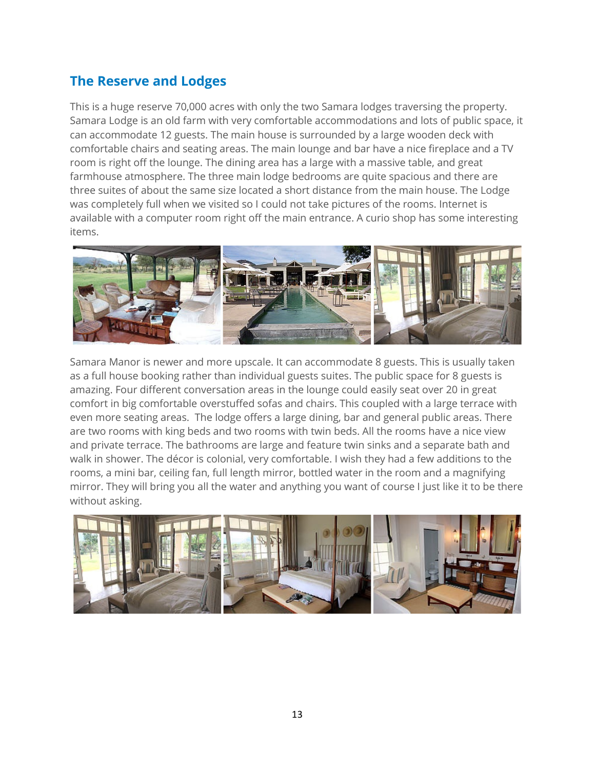### **The Reserve and Lodges**

This is a huge reserve 70,000 acres with only the two Samara lodges traversing the property. Samara Lodge is an old farm with very comfortable accommodations and lots of public space, it can accommodate 12 guests. The main house is surrounded by a large wooden deck with comfortable chairs and seating areas. The main lounge and bar have a nice fireplace and a TV room is right off the lounge. The dining area has a large with a massive table, and great farmhouse atmosphere. The three main lodge bedrooms are quite spacious and there are three suites of about the same size located a short distance from the main house. The Lodge was completely full when we visited so I could not take pictures of the rooms. Internet is available with a computer room right off the main entrance. A curio shop has some interesting items.



Samara Manor is newer and more upscale. It can accommodate 8 guests. This is usually taken as a full house booking rather than individual guests suites. The public space for 8 guests is amazing. Four different conversation areas in the lounge could easily seat over 20 in great comfort in big comfortable overstuffed sofas and chairs. This coupled with a large terrace with even more seating areas. The lodge offers a large dining, bar and general public areas. There are two rooms with king beds and two rooms with twin beds. All the rooms have a nice view and private terrace. The bathrooms are large and feature twin sinks and a separate bath and walk in shower. The décor is colonial, very comfortable. I wish they had a few additions to the rooms, a mini bar, ceiling fan, full length mirror, bottled water in the room and a magnifying mirror. They will bring you all the water and anything you want of course I just like it to be there without asking.